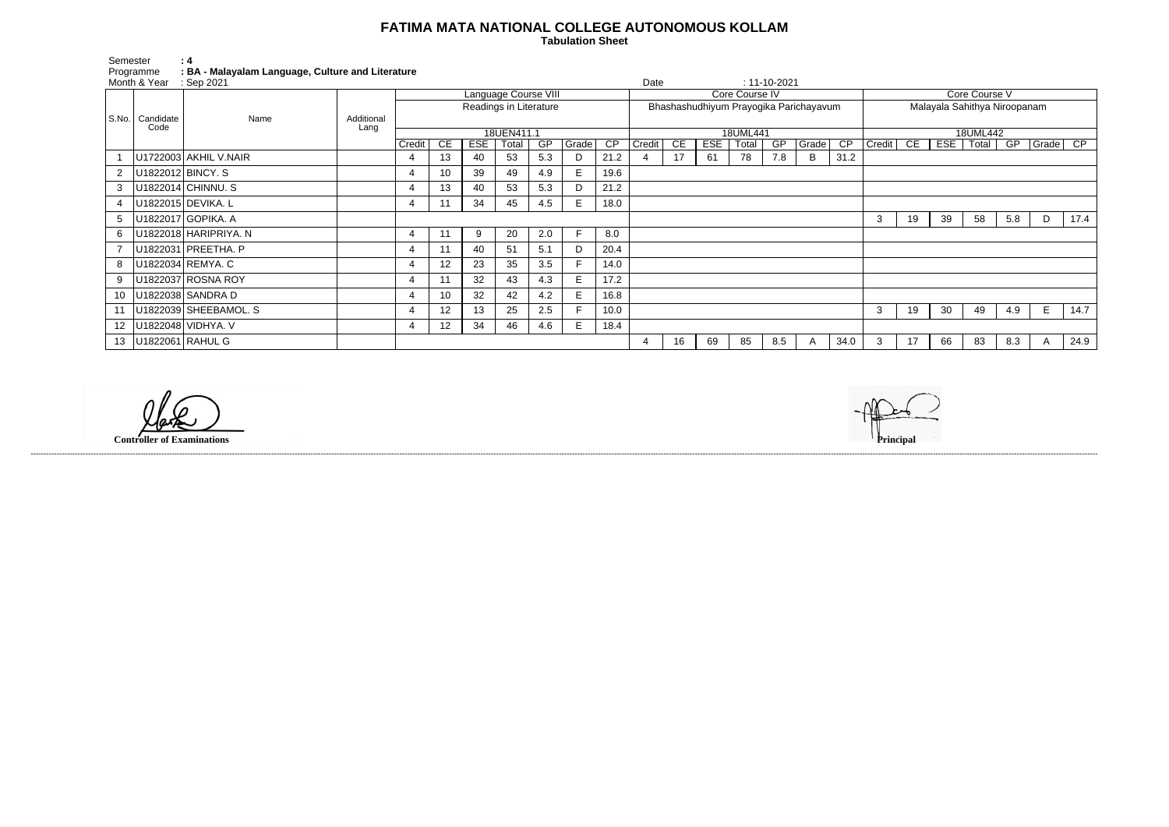## **FATIMA MATA NATIONAL COLLEGE AUTONOMOUS KOLLAM**

 **Tabulation Sheet** 

| Semester       | $\cdot$ 4                                         |
|----------------|---------------------------------------------------|
| Programme      | : BA - Malayalam Language, Culture and Literature |
| Month & Vaar I | . Can 2021                                        |

| Core Course V                |                                                                                      |    |    |     |   |      |  |  |  |  |  |  |  |
|------------------------------|--------------------------------------------------------------------------------------|----|----|-----|---|------|--|--|--|--|--|--|--|
| Malayala Sahithya Niroopanam |                                                                                      |    |    |     |   |      |  |  |  |  |  |  |  |
|                              |                                                                                      |    |    |     |   |      |  |  |  |  |  |  |  |
| 18UML442<br>$\overline{CP}$  |                                                                                      |    |    |     |   |      |  |  |  |  |  |  |  |
| Credit                       | $\overline{\mathsf{CE}}$<br><b>ESE</b><br>Total<br>$\overline{\mathsf{GP}}$<br>Grade |    |    |     |   |      |  |  |  |  |  |  |  |
|                              |                                                                                      |    |    |     |   |      |  |  |  |  |  |  |  |
|                              |                                                                                      |    |    |     |   |      |  |  |  |  |  |  |  |
|                              |                                                                                      |    |    |     |   |      |  |  |  |  |  |  |  |
|                              |                                                                                      |    |    |     |   |      |  |  |  |  |  |  |  |
| 3                            | 19                                                                                   | 39 | 58 | 5.8 | D | 17.4 |  |  |  |  |  |  |  |
|                              |                                                                                      |    |    |     |   |      |  |  |  |  |  |  |  |
|                              |                                                                                      |    |    |     |   |      |  |  |  |  |  |  |  |
|                              |                                                                                      |    |    |     |   |      |  |  |  |  |  |  |  |
|                              |                                                                                      |    |    |     |   |      |  |  |  |  |  |  |  |
|                              |                                                                                      |    |    |     |   |      |  |  |  |  |  |  |  |
| 3                            | 19                                                                                   | 30 | 49 | 4.9 | E | 14.7 |  |  |  |  |  |  |  |
|                              |                                                                                      |    |    |     |   |      |  |  |  |  |  |  |  |
| 3                            | 17                                                                                   | 66 | 83 | 8.3 | Α | 24.9 |  |  |  |  |  |  |  |

|       | Month & Year | $\therefore$ Sep 2021      |            |            |                 |                      |                        |     |       |                 | Date                                   |                |            |       | $: 11 - 10 - 2021$ |              |                 |                              |    |               |       |     |          |      |  |  |  |
|-------|--------------|----------------------------|------------|------------|-----------------|----------------------|------------------------|-----|-------|-----------------|----------------------------------------|----------------|------------|-------|--------------------|--------------|-----------------|------------------------------|----|---------------|-------|-----|----------|------|--|--|--|
|       |              |                            |            |            |                 | Language Course VIII |                        |     |       |                 |                                        | Core Course IV |            |       |                    |              |                 |                              |    | Core Course V |       |     |          |      |  |  |  |
|       |              | Name                       |            |            |                 |                      | Readings in Literature |     |       |                 | Bhashashudhiyum Prayogika Parichayavum |                |            |       |                    |              |                 | Malayala Sahithya Niroopanam |    |               |       |     |          |      |  |  |  |
| S.No. | Candidate    |                            | Additional |            |                 |                      |                        |     |       |                 |                                        |                |            |       |                    |              |                 |                              |    |               |       |     |          |      |  |  |  |
|       | Code         |                            | Lang       | 18UEN411.1 |                 |                      |                        |     |       |                 | 18UML441                               |                |            |       |                    |              |                 | 18UML442                     |    |               |       |     |          |      |  |  |  |
|       |              |                            |            | Credit     | CE.             | <b>ESE</b>           | Total                  | GP  | Grade | $\overline{CP}$ | Credit                                 | <b>CE</b>      | <b>ESE</b> | Total | $\overline{GP}$    | Grade        | $\overline{CP}$ | Credit                       | CE | ESE           | Total | GP  | Grade CP |      |  |  |  |
|       |              | U1722003 AKHIL V.NAIR      |            | 4          | 13 <sup>2</sup> | 40                   | 53                     | 5.3 | D     | 21.2            |                                        | 17             | 61         | 78    | 7.8                | B            | 31.2            |                              |    |               |       |     |          |      |  |  |  |
|       |              | U1822012 BINCY. S          |            | 4          | 10              | 39                   | 49                     | 4.9 | E.    | 19.6            |                                        |                |            |       |                    |              |                 |                              |    |               |       |     |          |      |  |  |  |
| 3     |              | U1822014 CHINNU. S         |            | 4          | 13              | 40                   | 53                     | 5.3 | D     | 21.2            |                                        |                |            |       |                    |              |                 |                              |    |               |       |     |          |      |  |  |  |
|       |              | U1822015 DEVIKA. L         |            | 4          |                 | 34                   | 45                     | 4.5 | E     | 18.0            |                                        |                |            |       |                    |              |                 |                              |    |               |       |     |          |      |  |  |  |
| 5     |              | U1822017 GOPIKA. A         |            |            |                 |                      |                        |     |       |                 |                                        |                |            |       |                    |              |                 | 3                            | 19 | 39            | 58    | 5.8 | D        | 17.4 |  |  |  |
| 6     |              | U1822018 HARIPRIYA. N      |            | 4          |                 | 9                    | 20                     | 2.0 |       | 8.0             |                                        |                |            |       |                    |              |                 |                              |    |               |       |     |          |      |  |  |  |
|       |              | U1822031 PREETHA. P        |            | 4          |                 | 40                   | 51                     | 5.1 | D     | 20.4            |                                        |                |            |       |                    |              |                 |                              |    |               |       |     |          |      |  |  |  |
| 8     |              | U1822034 REMYA. C          |            | 4          | 12 <sup>°</sup> | 23                   | 35                     | 3.5 |       | 14.0            |                                        |                |            |       |                    |              |                 |                              |    |               |       |     |          |      |  |  |  |
| 9     |              | U1822037 ROSNA ROY         |            | 4          |                 | 32                   | 43                     | 4.3 | E.    | 17.2            |                                        |                |            |       |                    |              |                 |                              |    |               |       |     |          |      |  |  |  |
|       |              | 10   U1822038   SANDRA D   |            | 4          | 10              | 32                   | 42                     | 4.2 |       | 16.8            |                                        |                |            |       |                    |              |                 |                              |    |               |       |     |          |      |  |  |  |
|       |              | 11   U1822039 SHEEBAMOL. S |            | 4          | 12              | 13                   | 25                     | 2.5 |       | 10.0            |                                        |                |            |       |                    |              |                 | 3                            | 19 | 30            | 49    | 4.9 | Е        | 14.7 |  |  |  |
|       |              | 12   U1822048   VIDHYA. V  |            | 4          | 12 <sub>2</sub> | 34                   | 46                     | 4.6 | E.    | 18.4            |                                        |                |            |       |                    |              |                 |                              |    |               |       |     |          |      |  |  |  |
|       |              | 13   U1822061   RAHUL G    |            |            |                 |                      |                        |     |       |                 | 4                                      | 16             | 69         | 85    | 8.5                | $\mathsf{A}$ | 34.0            |                              | 17 | 66            | 83    | 8.3 | A        | 24.9 |  |  |  |

**Controller of Examinations** 



------------------------------------------------------------------------------------------------------------------------------------------------------------------------------------------------------------------------------------------------------------------------------------------------------------------------------------------------------------------------------------------------------------------------